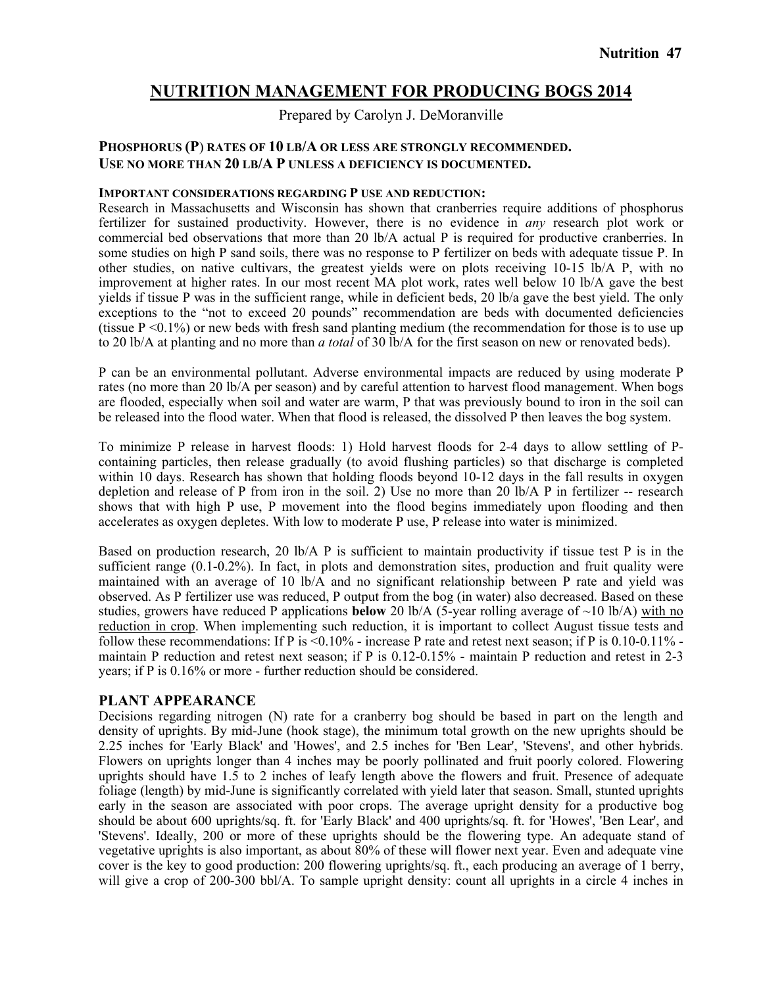# **NUTRITION MANAGEMENT FOR PRODUCING BOGS 2014**

Prepared by Carolyn J. DeMoranville

### **PHOSPHORUS (P**) **RATES OF 10 LB/A OR LESS ARE STRONGLY RECOMMENDED. USE NO MORE THAN 20 LB/A P UNLESS A DEFICIENCY IS DOCUMENTED.**

#### **IMPORTANT CONSIDERATIONS REGARDING P USE AND REDUCTION:**

Research in Massachusetts and Wisconsin has shown that cranberries require additions of phosphorus fertilizer for sustained productivity. However, there is no evidence in *any* research plot work or commercial bed observations that more than 20 lb/A actual P is required for productive cranberries. In some studies on high P sand soils, there was no response to P fertilizer on beds with adequate tissue P. In other studies, on native cultivars, the greatest yields were on plots receiving 10-15 lb/A P, with no improvement at higher rates. In our most recent MA plot work, rates well below 10 lb/A gave the best yields if tissue P was in the sufficient range, while in deficient beds, 20 lb/a gave the best yield. The only exceptions to the "not to exceed 20 pounds" recommendation are beds with documented deficiencies (tissue P <0.1%) or new beds with fresh sand planting medium (the recommendation for those is to use up to 20 lb/A at planting and no more than *a total* of 30 lb/A for the first season on new or renovated beds).

P can be an environmental pollutant. Adverse environmental impacts are reduced by using moderate P rates (no more than 20 lb/A per season) and by careful attention to harvest flood management. When bogs are flooded, especially when soil and water are warm, P that was previously bound to iron in the soil can be released into the flood water. When that flood is released, the dissolved P then leaves the bog system.

To minimize P release in harvest floods: 1) Hold harvest floods for 2-4 days to allow settling of Pcontaining particles, then release gradually (to avoid flushing particles) so that discharge is completed within 10 days. Research has shown that holding floods beyond 10-12 days in the fall results in oxygen depletion and release of P from iron in the soil. 2) Use no more than 20 lb/A P in fertilizer -- research shows that with high P use, P movement into the flood begins immediately upon flooding and then accelerates as oxygen depletes. With low to moderate P use, P release into water is minimized.

Based on production research, 20 lb/A P is sufficient to maintain productivity if tissue test P is in the sufficient range (0.1-0.2%). In fact, in plots and demonstration sites, production and fruit quality were maintained with an average of 10 lb/A and no significant relationship between P rate and yield was observed. As P fertilizer use was reduced, P output from the bog (in water) also decreased. Based on these studies, growers have reduced P applications **below** 20 lb/A (5-year rolling average of  $\sim$ 10 lb/A) with no reduction in crop. When implementing such reduction, it is important to collect August tissue tests and follow these recommendations: If P is  $\leq 0.10\%$  - increase P rate and retest next season; if P is 0.10-0.11% maintain P reduction and retest next season; if P is 0.12-0.15% - maintain P reduction and retest in 2-3 years; if P is 0.16% or more - further reduction should be considered.

### **PLANT APPEARANCE**

Decisions regarding nitrogen (N) rate for a cranberry bog should be based in part on the length and density of uprights. By mid-June (hook stage), the minimum total growth on the new uprights should be 2.25 inches for 'Early Black' and 'Howes', and 2.5 inches for 'Ben Lear', 'Stevens', and other hybrids. Flowers on uprights longer than 4 inches may be poorly pollinated and fruit poorly colored. Flowering uprights should have 1.5 to 2 inches of leafy length above the flowers and fruit. Presence of adequate foliage (length) by mid-June is significantly correlated with yield later that season. Small, stunted uprights early in the season are associated with poor crops. The average upright density for a productive bog should be about 600 uprights/sq. ft. for 'Early Black' and 400 uprights/sq. ft. for 'Howes', 'Ben Lear', and 'Stevens'. Ideally, 200 or more of these uprights should be the flowering type. An adequate stand of vegetative uprights is also important, as about 80% of these will flower next year. Even and adequate vine cover is the key to good production: 200 flowering uprights/sq. ft., each producing an average of 1 berry, will give a crop of 200-300 bbl/A. To sample upright density: count all uprights in a circle 4 inches in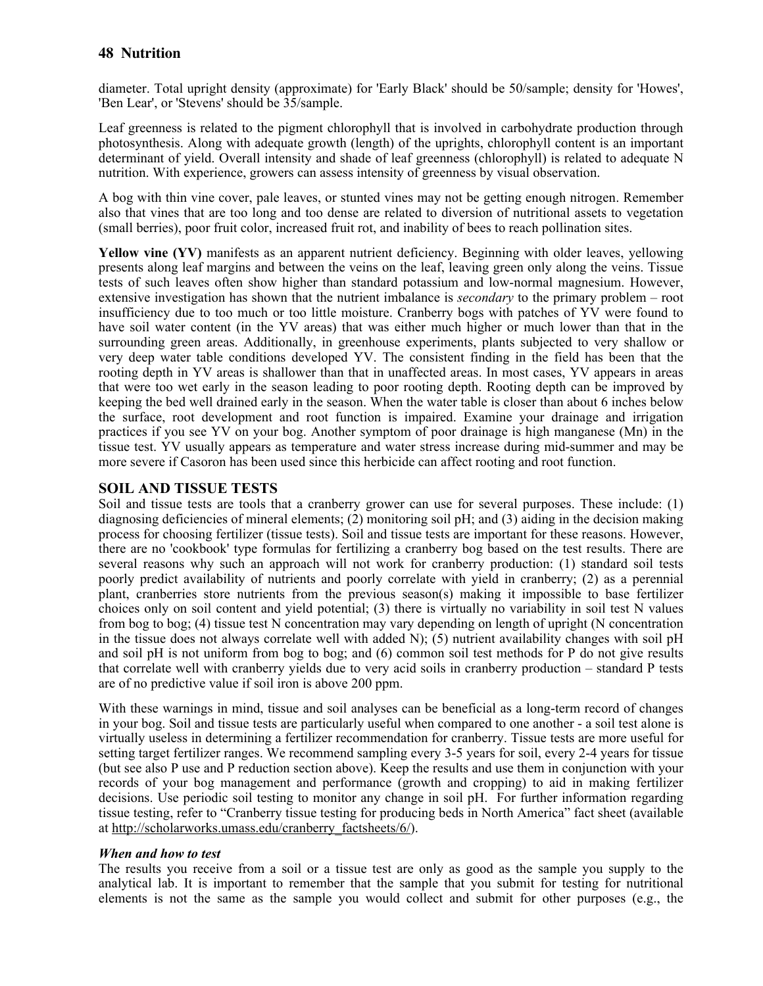diameter. Total upright density (approximate) for 'Early Black' should be 50/sample; density for 'Howes', 'Ben Lear', or 'Stevens' should be 35/sample.

Leaf greenness is related to the pigment chlorophyll that is involved in carbohydrate production through photosynthesis. Along with adequate growth (length) of the uprights, chlorophyll content is an important determinant of yield. Overall intensity and shade of leaf greenness (chlorophyll) is related to adequate N nutrition. With experience, growers can assess intensity of greenness by visual observation.

A bog with thin vine cover, pale leaves, or stunted vines may not be getting enough nitrogen. Remember also that vines that are too long and too dense are related to diversion of nutritional assets to vegetation (small berries), poor fruit color, increased fruit rot, and inability of bees to reach pollination sites.

**Yellow vine (YV)** manifests as an apparent nutrient deficiency. Beginning with older leaves, yellowing presents along leaf margins and between the veins on the leaf, leaving green only along the veins. Tissue tests of such leaves often show higher than standard potassium and low-normal magnesium. However, extensive investigation has shown that the nutrient imbalance is *secondary* to the primary problem – root insufficiency due to too much or too little moisture. Cranberry bogs with patches of YV were found to have soil water content (in the YV areas) that was either much higher or much lower than that in the surrounding green areas. Additionally, in greenhouse experiments, plants subjected to very shallow or very deep water table conditions developed YV. The consistent finding in the field has been that the rooting depth in YV areas is shallower than that in unaffected areas. In most cases, YV appears in areas that were too wet early in the season leading to poor rooting depth. Rooting depth can be improved by keeping the bed well drained early in the season. When the water table is closer than about 6 inches below the surface, root development and root function is impaired. Examine your drainage and irrigation practices if you see YV on your bog. Another symptom of poor drainage is high manganese (Mn) in the tissue test. YV usually appears as temperature and water stress increase during mid-summer and may be more severe if Casoron has been used since this herbicide can affect rooting and root function.

### **SOIL AND TISSUE TESTS**

Soil and tissue tests are tools that a cranberry grower can use for several purposes. These include: (1) diagnosing deficiencies of mineral elements; (2) monitoring soil pH; and (3) aiding in the decision making process for choosing fertilizer (tissue tests). Soil and tissue tests are important for these reasons. However, there are no 'cookbook' type formulas for fertilizing a cranberry bog based on the test results. There are several reasons why such an approach will not work for cranberry production: (1) standard soil tests poorly predict availability of nutrients and poorly correlate with yield in cranberry; (2) as a perennial plant, cranberries store nutrients from the previous season(s) making it impossible to base fertilizer choices only on soil content and yield potential; (3) there is virtually no variability in soil test N values from bog to bog; (4) tissue test N concentration may vary depending on length of upright (N concentration in the tissue does not always correlate well with added N); (5) nutrient availability changes with soil pH and soil pH is not uniform from bog to bog; and (6) common soil test methods for P do not give results that correlate well with cranberry yields due to very acid soils in cranberry production – standard P tests are of no predictive value if soil iron is above 200 ppm.

With these warnings in mind, tissue and soil analyses can be beneficial as a long-term record of changes in your bog. Soil and tissue tests are particularly useful when compared to one another - a soil test alone is virtually useless in determining a fertilizer recommendation for cranberry. Tissue tests are more useful for setting target fertilizer ranges. We recommend sampling every 3-5 years for soil, every 2-4 years for tissue (but see also P use and P reduction section above). Keep the results and use them in conjunction with your records of your bog management and performance (growth and cropping) to aid in making fertilizer decisions. Use periodic soil testing to monitor any change in soil pH. For further information regarding tissue testing, refer to "Cranberry tissue testing for producing beds in North America" fact sheet (available at http://scholarworks.umass.edu/cranberry\_factsheets/6/).

#### *When and how to test*

The results you receive from a soil or a tissue test are only as good as the sample you supply to the analytical lab. It is important to remember that the sample that you submit for testing for nutritional elements is not the same as the sample you would collect and submit for other purposes (e.g., the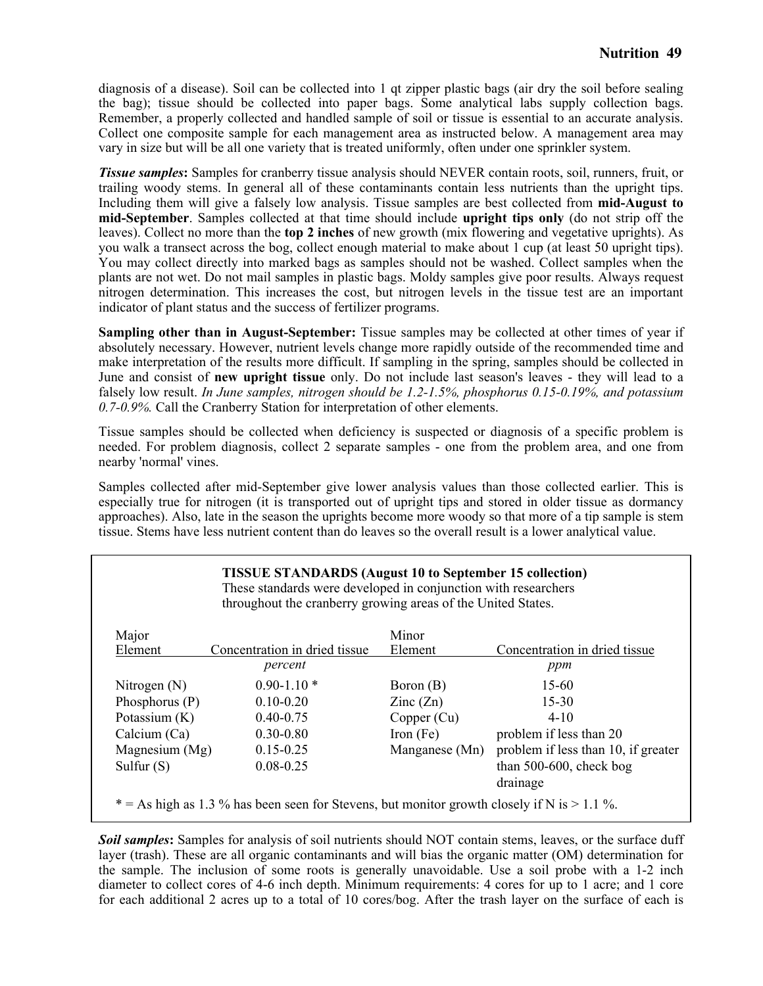diagnosis of a disease). Soil can be collected into 1 qt zipper plastic bags (air dry the soil before sealing the bag); tissue should be collected into paper bags. Some analytical labs supply collection bags. Remember, a properly collected and handled sample of soil or tissue is essential to an accurate analysis. Collect one composite sample for each management area as instructed below. A management area may vary in size but will be all one variety that is treated uniformly, often under one sprinkler system.

*Tissue samples*: Samples for cranberry tissue analysis should NEVER contain roots, soil, runners, fruit, or trailing woody stems. In general all of these contaminants contain less nutrients than the upright tips. Including them will give a falsely low analysis. Tissue samples are best collected from **mid-August to mid-September**. Samples collected at that time should include **upright tips only** (do not strip off the leaves). Collect no more than the **top 2 inches** of new growth (mix flowering and vegetative uprights). As you walk a transect across the bog, collect enough material to make about 1 cup (at least 50 upright tips). You may collect directly into marked bags as samples should not be washed. Collect samples when the plants are not wet. Do not mail samples in plastic bags. Moldy samples give poor results. Always request nitrogen determination. This increases the cost, but nitrogen levels in the tissue test are an important indicator of plant status and the success of fertilizer programs.

**Sampling other than in August-September:** Tissue samples may be collected at other times of year if absolutely necessary. However, nutrient levels change more rapidly outside of the recommended time and make interpretation of the results more difficult. If sampling in the spring, samples should be collected in June and consist of **new upright tissue** only. Do not include last season's leaves - they will lead to a falsely low result. *In June samples, nitrogen should be 1.2-1.5%, phosphorus 0.15-0.19%, and potassium 0.7-0.9%.* Call the Cranberry Station for interpretation of other elements.

Tissue samples should be collected when deficiency is suspected or diagnosis of a specific problem is needed. For problem diagnosis, collect 2 separate samples - one from the problem area, and one from nearby 'normal' vines.

Samples collected after mid-September give lower analysis values than those collected earlier. This is especially true for nitrogen (it is transported out of upright tips and stored in older tissue as dormancy approaches). Also, late in the season the uprights become more woody so that more of a tip sample is stem tissue. Stems have less nutrient content than do leaves so the overall result is a lower analytical value.

| <b>TISSUE STANDARDS</b> (August 10 to September 15 collection)<br>These standards were developed in conjunction with researchers<br>throughout the cranberry growing areas of the United States. |                          |                                        |  |  |
|--------------------------------------------------------------------------------------------------------------------------------------------------------------------------------------------------|--------------------------|----------------------------------------|--|--|
|                                                                                                                                                                                                  | Minor                    |                                        |  |  |
| Concentration in dried tissue<br>percent                                                                                                                                                         | Element                  | Concentration in dried tissue<br>ppm   |  |  |
| $0.90 - 1.10*$                                                                                                                                                                                   | Boron (B)                | 15-60                                  |  |  |
| $0.10 - 0.20$                                                                                                                                                                                    | $\text{Zinc}(\text{Zn})$ | $15 - 30$                              |  |  |
| $0.40 - 0.75$                                                                                                                                                                                    | Copper (Cu)              | $4 - 10$                               |  |  |
| $0.30 - 0.80$                                                                                                                                                                                    | Iron $(Fe)$              | problem if less than 20                |  |  |
| Magnesium (Mg)<br>$0.15 - 0.25$                                                                                                                                                                  | Manganese (Mn)           | problem if less than 10, if greater    |  |  |
| $0.08 - 0.25$                                                                                                                                                                                    |                          | than $500-600$ , check bog<br>drainage |  |  |
|                                                                                                                                                                                                  |                          |                                        |  |  |

**Soil samples**: Samples for analysis of soil nutrients should NOT contain stems, leaves, or the surface duff layer (trash). These are all organic contaminants and will bias the organic matter (OM) determination for the sample. The inclusion of some roots is generally unavoidable. Use a soil probe with a 1-2 inch diameter to collect cores of 4-6 inch depth. Minimum requirements: 4 cores for up to 1 acre; and 1 core for each additional 2 acres up to a total of 10 cores/bog. After the trash layer on the surface of each is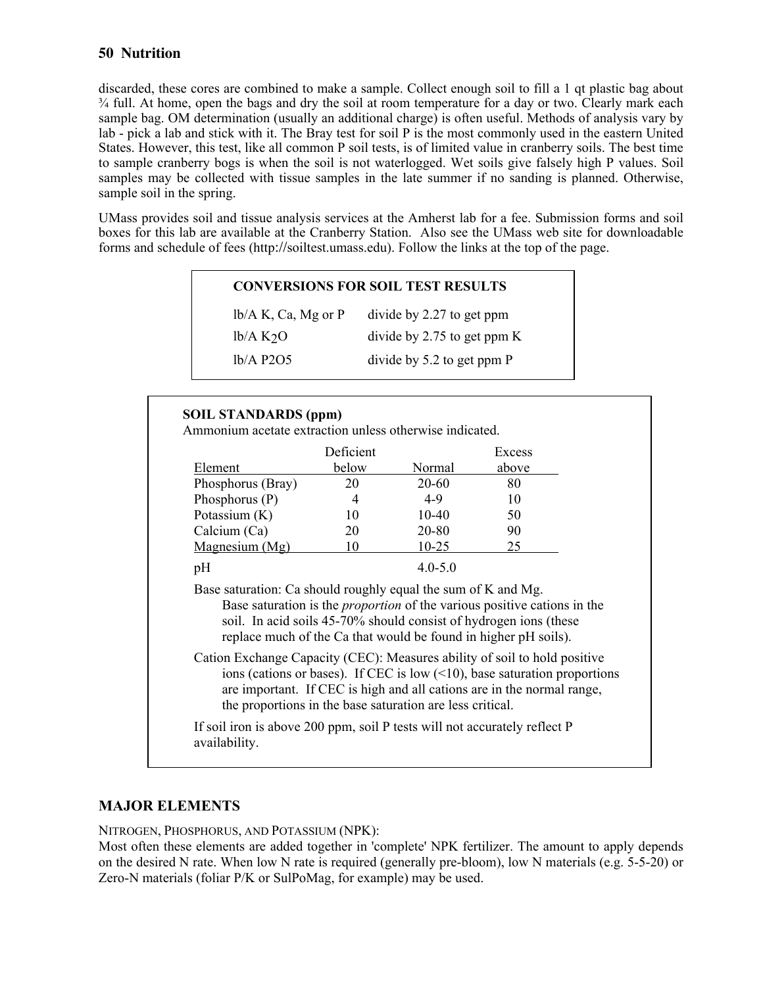discarded, these cores are combined to make a sample. Collect enough soil to fill a 1 qt plastic bag about ¾ full. At home, open the bags and dry the soil at room temperature for a day or two. Clearly mark each sample bag. OM determination (usually an additional charge) is often useful. Methods of analysis vary by lab - pick a lab and stick with it. The Bray test for soil P is the most commonly used in the eastern United States. However, this test, like all common P soil tests, is of limited value in cranberry soils. The best time to sample cranberry bogs is when the soil is not waterlogged. Wet soils give falsely high P values. Soil samples may be collected with tissue samples in the late summer if no sanding is planned. Otherwise, sample soil in the spring.

UMass provides soil and tissue analysis services at the Amherst lab for a fee. Submission forms and soil boxes for this lab are available at the Cranberry Station. Also see the UMass web site for downloadable forms and schedule of fees (http://soiltest.umass.edu). Follow the links at the top of the page.

| $lb/A K$ , Ca, Mg or P         | divide by 2.27 to get ppm      |
|--------------------------------|--------------------------------|
| $\frac{1}{2}$ k <sub>2</sub> O | divide by 2.75 to get ppm $K$  |
| $lb/A$ P2O5                    | divide by $5.2$ to get ppm $P$ |

### **SOIL STANDARDS (ppm)**

Ammonium acetate extraction unless otherwise indicated.

|                   | Deficient |             | Excess |
|-------------------|-----------|-------------|--------|
| Element           | below     | Normal      | above  |
| Phosphorus (Bray) | 20        | 20-60       | 80     |
| Phosphorus $(P)$  | 4         | $4-9$       | 10     |
| Potassium (K)     | 10        | $10-40$     | 50     |
| Calcium (Ca)      | 20        | 20-80       | 90     |
| Magnesium (Mg)    | 10        | 10-25       | 25     |
| эΗ                |           | $4.0 - 5.0$ |        |

Base saturation: Ca should roughly equal the sum of K and Mg.

Base saturation is the *proportion* of the various positive cations in the soil. In acid soils 45-70% should consist of hydrogen ions (these replace much of the Ca that would be found in higher pH soils).

Cation Exchange Capacity (CEC): Measures ability of soil to hold positive ions (cations or bases). If CEC is low  $($ <10), base saturation proportions are important. If CEC is high and all cations are in the normal range, the proportions in the base saturation are less critical.

If soil iron is above 200 ppm, soil P tests will not accurately reflect P availability.

### **MAJOR ELEMENTS**

NITROGEN, PHOSPHORUS, AND POTASSIUM (NPK):

Most often these elements are added together in 'complete' NPK fertilizer. The amount to apply depends on the desired N rate. When low N rate is required (generally pre-bloom), low N materials (e.g. 5-5-20) or Zero-N materials (foliar P/K or SulPoMag, for example) may be used.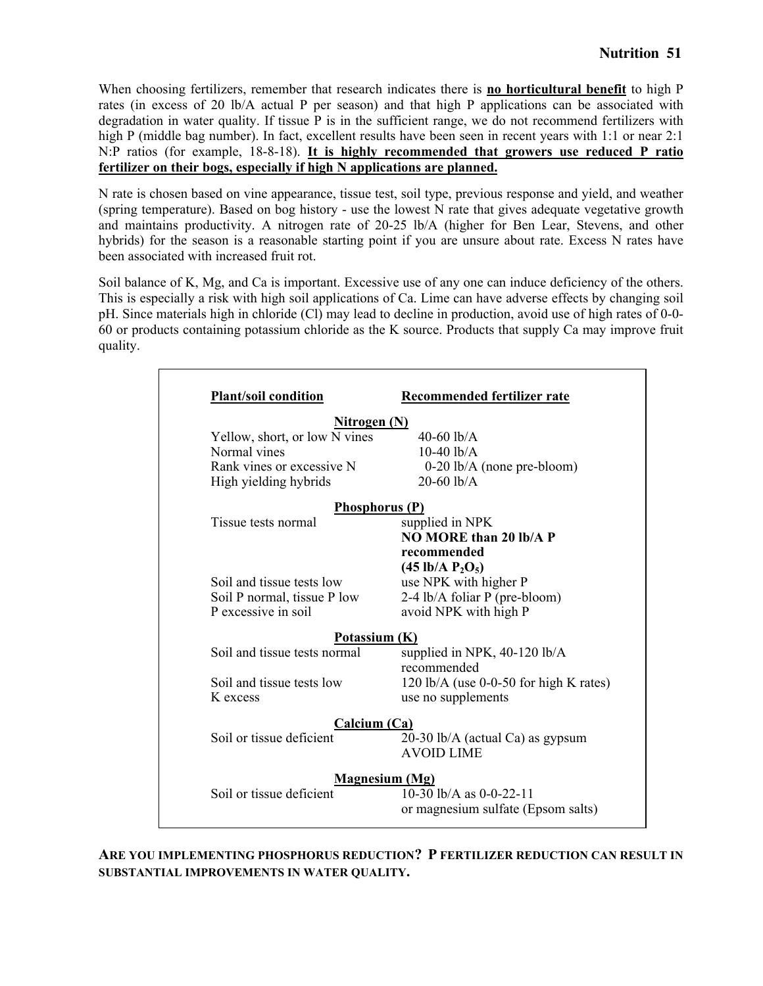When choosing fertilizers, remember that research indicates there is **no horticultural benefit** to high P rates (in excess of 20 lb/A actual P per season) and that high P applications can be associated with degradation in water quality. If tissue P is in the sufficient range, we do not recommend fertilizers with high P (middle bag number). In fact, excellent results have been seen in recent years with 1:1 or near 2:1 N:P ratios (for example, 18-8-18). **It is highly recommended that growers use reduced P ratio fertilizer on their bogs, especially if high N applications are planned.**

N rate is chosen based on vine appearance, tissue test, soil type, previous response and yield, and weather (spring temperature). Based on bog history - use the lowest N rate that gives adequate vegetative growth and maintains productivity. A nitrogen rate of 20-25 lb/A (higher for Ben Lear, Stevens, and other hybrids) for the season is a reasonable starting point if you are unsure about rate. Excess N rates have been associated with increased fruit rot.

Soil balance of K, Mg, and Ca is important. Excessive use of any one can induce deficiency of the others. This is especially a risk with high soil applications of Ca. Lime can have adverse effects by changing soil pH. Since materials high in chloride (Cl) may lead to decline in production, avoid use of high rates of 0-0- 60 or products containing potassium chloride as the K source. Products that supply Ca may improve fruit quality.

| <b>Plant/soil condition</b>   | Recommended fertilizer rate            |
|-------------------------------|----------------------------------------|
| <u>Nitrogen (N)</u>           |                                        |
| Yellow, short, or low N vines | 40-60 $lb/A$                           |
| Normal vines                  | $10-40$ lb/A                           |
| Rank vines or excessive N     | $0-20$ lb/A (none pre-bloom)           |
| High yielding hybrids         | $20-60$ lb/A                           |
| <b>Phosphorus (P)</b>         |                                        |
| Tissue tests normal           | supplied in NPK                        |
|                               | <b>NO MORE than 20 lb/A P</b>          |
|                               | recommended                            |
|                               | $(45 \text{ lb/A P}_2\text{O}_5)$      |
| Soil and tissue tests low     | use NPK with higher P                  |
| Soil P normal, tissue P low   | 2-4 lb/A foliar P (pre-bloom)          |
| P excessive in soil           | avoid NPK with high P                  |
| Potassium (K)                 |                                        |
| Soil and tissue tests normal  | supplied in NPK, $40-120$ lb/A         |
|                               | recommended                            |
| Soil and tissue tests low     | 120 lb/A (use 0-0-50 for high K rates) |
| K excess                      | use no supplements                     |
| Calcium $(Ca)$                |                                        |
| Soil or tissue deficient      | 20-30 lb/A (actual Ca) as gypsum       |
|                               | <b>AVOID LIME</b>                      |
|                               | <b>Magnesium (Mg)</b>                  |
| Soil or tissue deficient      | 10-30 lb/A as 0-0-22-11                |
|                               | or magnesium sulfate (Epsom salts)     |

**ARE YOU IMPLEMENTING PHOSPHORUS REDUCTION? P FERTILIZER REDUCTION CAN RESULT IN SUBSTANTIAL IMPROVEMENTS IN WATER QUALITY.**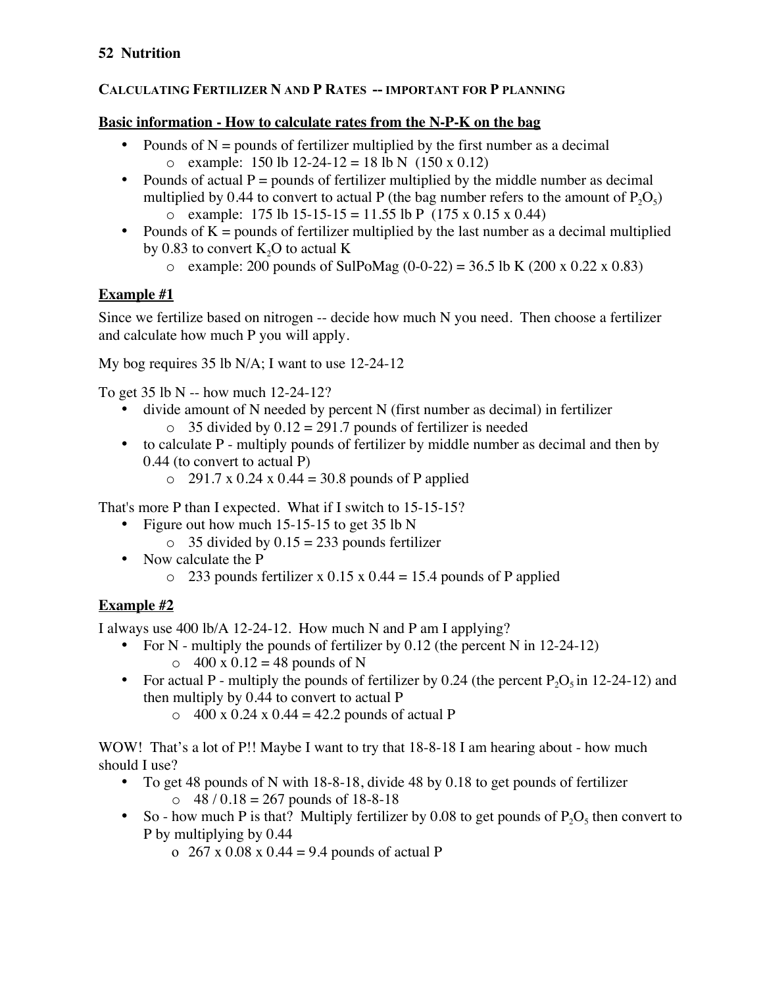## **CALCULATING FERTILIZER N AND P RATES -- IMPORTANT FOR P PLANNING**

## **Basic information - How to calculate rates from the N-P-K on the bag**

- Pounds of  $N =$  pounds of fertilizer multiplied by the first number as a decimal o example:  $150$  lb  $12-24-12 = 18$  lb N  $(150 \times 0.12)$
- Pounds of actual  $P =$  pounds of fertilizer multiplied by the middle number as decimal multiplied by 0.44 to convert to actual P (the bag number refers to the amount of  $P_2O_5$ ) o example: 175 lb 15-15-15 = 11.55 lb P (175 x 0.15 x 0.44)
- Pounds of  $K =$  pounds of fertilizer multiplied by the last number as a decimal multiplied
	- by 0.83 to convert  $K_2O$  to actual K
		- $\circ$  example: 200 pounds of SulPoMag (0-0-22) = 36.5 lb K (200 x 0.22 x 0.83)

## **Example #1**

Since we fertilize based on nitrogen -- decide how much N you need. Then choose a fertilizer and calculate how much P you will apply.

My bog requires 35 lb N/A; I want to use 12-24-12

To get 35 lb N -- how much 12-24-12?

- divide amount of N needed by percent N (first number as decimal) in fertilizer  $\circ$  35 divided by 0.12 = 291.7 pounds of fertilizer is needed
- to calculate P multiply pounds of fertilizer by middle number as decimal and then by 0.44 (to convert to actual P)
	- $O$  291.7 x 0.24 x 0.44 = 30.8 pounds of P applied

That's more P than I expected. What if I switch to 15-15-15?

- Figure out how much  $15-15-15$  to get  $35$  lb N
	- $\circ$  35 divided by 0.15 = 233 pounds fertilizer
- Now calculate the P
	- $\degree$  233 pounds fertilizer x 0.15 x 0.44 = 15.4 pounds of P applied

## **Example #2**

I always use 400 lb/A 12-24-12. How much N and P am I applying?

- For N multiply the pounds of fertilizer by 0.12 (the percent N in 12-24-12)  $\circ$  400 x 0.12 = 48 pounds of N
- For actual P multiply the pounds of fertilizer by 0.24 (the percent  $P_2O_5$  in 12-24-12) and then multiply by 0.44 to convert to actual P
	- $\degree$  400 x 0.24 x 0.44 = 42.2 pounds of actual P

WOW! That's a lot of P!! Maybe I want to try that  $18-8-18$  I am hearing about - how much should I use?

- To get 48 pounds of N with 18-8-18, divide 48 by 0.18 to get pounds of fertilizer  $\circ$  48 / 0.18 = 267 pounds of 18-8-18
- So how much P is that? Multiply fertilizer by 0.08 to get pounds of  $P_2O_5$  then convert to P by multiplying by 0.44
	- o  $267 \times 0.08 \times 0.44 = 9.4$  pounds of actual P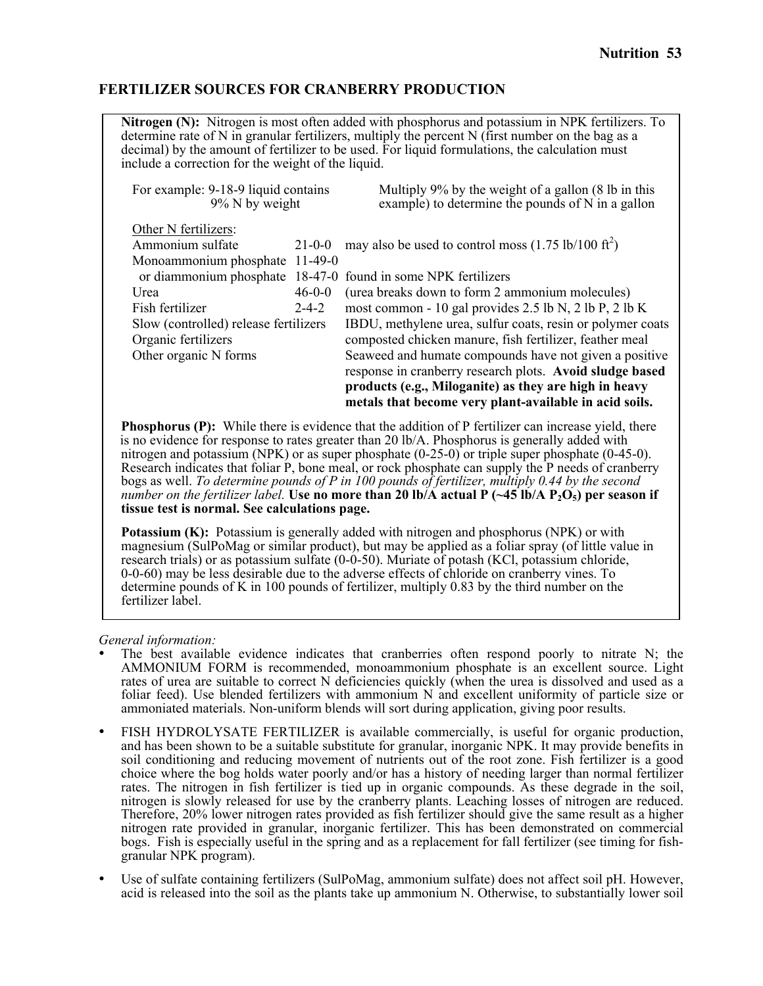### **FERTILIZER SOURCES FOR CRANBERRY PRODUCTION**

**Nitrogen (N):** Nitrogen is most often added with phosphorus and potassium in NPK fertilizers. To determine rate of N in granular fertilizers, multiply the percent N (first number on the bag as a decimal) by the amount of fertilizer to be used. For liquid formulations, the calculation must include a correction for the weight of the liquid.

| Multiply 9% by the weight of a gallon (8 lb in this<br>example) to determine the pounds of N in a gallon        |  |
|-----------------------------------------------------------------------------------------------------------------|--|
|                                                                                                                 |  |
| may also be used to control moss $(1.75 \text{ lb}/100 \text{ ft}^2)$<br>$21 - 0 - 0$                           |  |
| Monoammonium phosphate 11-49-0                                                                                  |  |
| 18-47-0 found in some NPK fertilizers                                                                           |  |
| $46 - 0 - 0$<br>(urea breaks down to form 2 ammonium molecules)                                                 |  |
| most common - 10 gal provides 2.5 lb N, 2 lb P, 2 lb K                                                          |  |
| IBDU, methylene urea, sulfur coats, resin or polymer coats                                                      |  |
| composted chicken manure, fish fertilizer, feather meal                                                         |  |
| Seaweed and humate compounds have not given a positive                                                          |  |
| response in cranberry research plots. Avoid sludge based                                                        |  |
| products (e.g., Miloganite) as they are high in heavy<br>metals that become very plant-available in acid soils. |  |
| For example: 9-18-9 liquid contains<br>$2 - 4 - 2$<br>Slow (controlled) release fertilizers                     |  |

**Phosphorus (P):** While there is evidence that the addition of P fertilizer can increase yield, there is no evidence for response to rates greater than 20 lb/A. Phosphorus is generally added with nitrogen and potassium (NPK) or as super phosphate (0-25-0) or triple super phosphate (0-45-0). Research indicates that foliar P, bone meal, or rock phosphate can supply the P needs of cranberry bogs as well. *To determine pounds of P in 100 pounds of fertilizer, multiply 0.44 by the second number on the fertilizer label.* Use no more than 20 lb/A actual P  $(-45 \text{ lb/A P}_2\text{O}_5)$  per season if **tissue test is normal. See calculations page.**

**Potassium (K):** Potassium is generally added with nitrogen and phosphorus (NPK) or with magnesium (SulPoMag or similar product), but may be applied as a foliar spray (of little value in research trials) or as potassium sulfate (0-0-50). Muriate of potash (KCl, potassium chloride, 0-0-60) may be less desirable due to the adverse effects of chloride on cranberry vines. To determine pounds of K in 100 pounds of fertilizer, multiply 0.83 by the third number on the fertilizer label.

*General information:*

- The best available evidence indicates that cranberries often respond poorly to nitrate  $N$ ; the AMMONIUM FORM is recommended, monoammonium phosphate is an excellent source. Light rates of urea are suitable to correct N deficiencies quickly (when the urea is dissolved and used as a foliar feed). Use blended fertilizers with ammonium N and excellent uniformity of particle size or ammoniated materials. Non-uniform blends will sort during application, giving poor results.
- FISH HYDROLYSATE FERTILIZER is available commercially, is useful for organic production, and has been shown to be a suitable substitute for granular, inorganic NPK. It may provide benefits in soil conditioning and reducing movement of nutrients out of the root zone. Fish fertilizer is a good choice where the bog holds water poorly and/or has a history of needing larger than normal fertilizer rates. The nitrogen in fish fertilizer is tied up in organic compounds. As these degrade in the soil, nitrogen is slowly released for use by the cranberry plants. Leaching losses of nitrogen are reduced. Therefore, 20% lower nitrogen rates provided as fish fertilizer should give the same result as a higher nitrogen rate provided in granular, inorganic fertilizer. This has been demonstrated on commercial bogs. Fish is especially useful in the spring and as a replacement for fall fertilizer (see timing for fish- granular NPK program).
- Use of sulfate containing fertilizers (SulPoMag, ammonium sulfate) does not affect soil pH. However, acid is released into the soil as the plants take up ammonium N. Otherwise, to substantially lower soil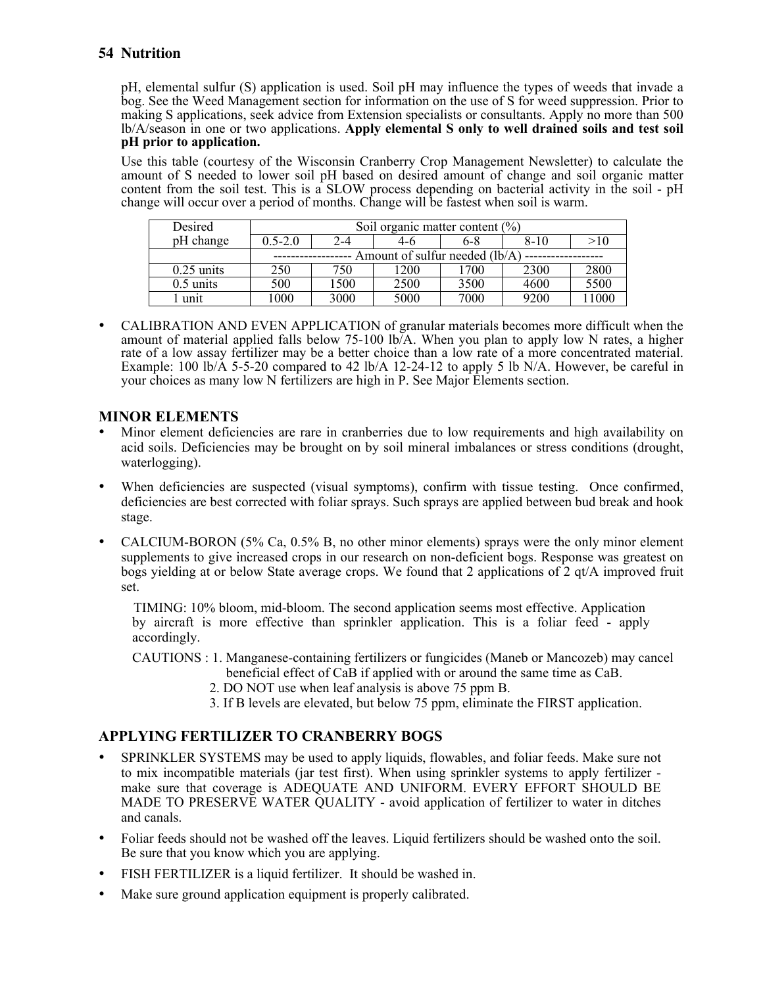pH, elemental sulfur (S) application is used. Soil pH may influence the types of weeds that invade a bog. See the Weed Management section for information on the use of S for weed suppression. Prior to making S applications, seek advice from Extension specialists or consultants. Apply no more than 500 lb/A/season in one or two applications. **Apply elemental S only to well drained soils and test soil pH prior to application.**

Use this table (courtesy of the Wisconsin Cranberry Crop Management Newsletter) to calculate the amount of S needed to lower soil pH based on desired amount of change and soil organic matter content from the soil test. This is a SLOW process depending on bacterial activity in the soil - pH change will occur over a period of months. Change will be fastest when soil is warm.

| Desired             | Soil organic matter content $(\% )$ |      |      |      |          |      |
|---------------------|-------------------------------------|------|------|------|----------|------|
| pH change           | $0.5 - 2.0$                         | 2-4  | 4-6  | 6-8  | $8 - 10$ | >10  |
|                     | Amount of sulfur needed (lb/A)      |      |      |      |          |      |
| $0.25$ units        | 250                                 | 750  | 1200 | 1700 | 2300     | 2800 |
| $0.5 \text{ units}$ | 500                                 | 1500 | 2500 | 3500 | 4600     | 5500 |
| unit                | 1000                                | 3000 | 5000 | 7000 | 9200     | 1000 |

• CALIBRATION AND EVEN APPLICATION of granular materials becomes more difficult when the amount of material applied falls below 75-100 lb/A. When you plan to apply low N rates, a higher rate of a low assay fertilizer may be a better choice than a low rate of a more concentrated material. Example: 100 lb/ $\overline{A}$  5-5-20 compared to 42 lb/ $\overline{A}$  12-24-12 to apply 5 lb N/A. However, be careful in your choices as many low N fertilizers are high in P. See Major Elements section.

### **MINOR ELEMENTS**

- Minor element deficiencies are rare in cranberries due to low requirements and high availability on acid soils. Deficiencies may be brought on by soil mineral imbalances or stress conditions (drought, waterlogging).
- When deficiencies are suspected (visual symptoms), confirm with tissue testing. Once confirmed, deficiencies are best corrected with foliar sprays. Such sprays are applied between bud break and hook stage.
- CALCIUM-BORON (5% Ca, 0.5% B, no other minor elements) sprays were the only minor element supplements to give increased crops in our research on non-deficient bogs. Response was greatest on bogs yielding at or below State average crops. We found that 2 applications of 2 qt/A improved fruit set.

TIMING: 10% bloom, mid-bloom. The second application seems most effective. Application by aircraft is more effective than sprinkler application. This is a foliar feed - apply accordingly.

CAUTIONS : 1. Manganese-containing fertilizers or fungicides (Maneb or Mancozeb) may cancel

- beneficial effect of CaB if applied with or around the same time as CaB.
	- 2. DO NOT use when leaf analysis is above 75 ppm B.
	- 3. If B levels are elevated, but below 75 ppm, eliminate the FIRST application.

### **APPLYING FERTILIZER TO CRANBERRY BOGS**

- SPRINKLER SYSTEMS may be used to apply liquids, flowables, and foliar feeds. Make sure not to mix incompatible materials (jar test first). When using sprinkler systems to apply fertilizer make sure that coverage is ADEQUATE AND UNIFORM. EVERY EFFORT SHOULD BE MADE TO PRESERVE WATER QUALITY - avoid application of fertilizer to water in ditches and canals.
- Foliar feeds should not be washed off the leaves. Liquid fertilizers should be washed onto the soil. Be sure that you know which you are applying.
- FISH FERTILIZER is a liquid fertilizer. It should be washed in.
- Make sure ground application equipment is properly calibrated.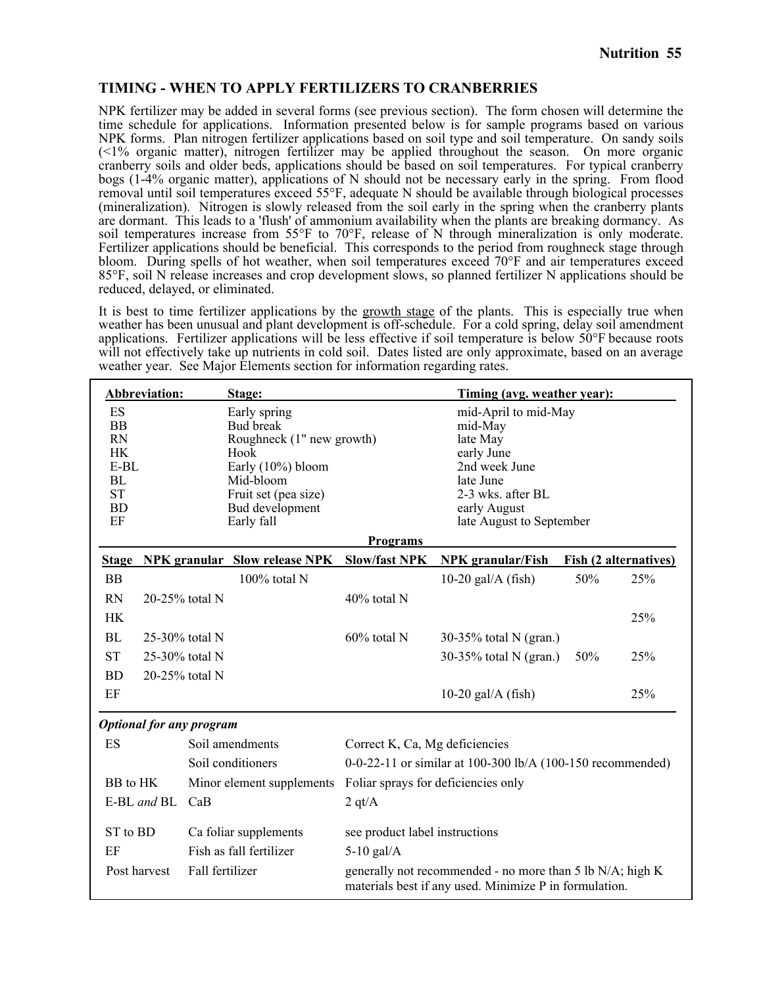### **TIMING - WHEN TO APPLY FERTILIZERS TO CRANBERRIES**

NPK fertilizer may be added in several forms (see previous section). The form chosen will determine the time schedule for applications. Information presented below is for sample programs based on various NPK forms. Plan nitrogen fertilizer applications based on soil type and soil temperature. On sandy soils (<1% organic matter), nitrogen fertilizer may be applied throughout the season. On more organic cranberry soils and older beds, applications should be based on soil temperatures. For typical cranberry bogs (1-4% organic matter), applications of N should not be necessary early in the spring. From flood removal until soil temperatures exceed 55°F, adequate N should be available through biological processes (mineralization). Nitrogen is slowly released from the soil early in the spring when the cranberry plants are dormant. This leads to a 'flush' of ammonium availability when the plants are breaking dormancy. As soil temperatures increase from 55°F to 70°F, release of N through mineralization is only moderate. Fertilizer applications should be beneficial. This corresponds to the period from roughneck stage through bloom. During spells of hot weather, when soil temperatures exceed 70°F and air temperatures exceed 85°F, soil N release increases and crop development slows, so planned fertilizer N applications should be reduced, delayed, or eliminated.

It is best to time fertilizer applications by the growth stage of the plants. This is especially true when weather has been unusual and plant development is off-schedule. For a cold spring, delay soil amendment applications. Fertilizer applications will be less effective if soil temperature is below 50°F because roots will not effectively take up nutrients in cold soil. Dates listed are only approximate, based on an average weather year. See Major Elements section for information regarding rates.

|                                                                                                  | Abbreviation:                   |                 | Stage:                                                                                                                                                           |                                | Timing (avg. weather year):                                                                                                                              |     |                              |
|--------------------------------------------------------------------------------------------------|---------------------------------|-----------------|------------------------------------------------------------------------------------------------------------------------------------------------------------------|--------------------------------|----------------------------------------------------------------------------------------------------------------------------------------------------------|-----|------------------------------|
| ES<br><b>BB</b><br><b>RN</b><br><b>HK</b><br>$E-BL$<br><b>BL</b><br><b>ST</b><br><b>BD</b><br>EF |                                 |                 | Early spring<br><b>Bud break</b><br>Roughneck (1" new growth)<br>Hook<br>Early (10%) bloom<br>Mid-bloom<br>Fruit set (pea size)<br>Bud development<br>Early fall |                                | mid-April to mid-May<br>mid-May<br>late May<br>early June<br>2nd week June<br>late June<br>2-3 wks. after BL<br>early August<br>late August to September |     |                              |
|                                                                                                  |                                 |                 |                                                                                                                                                                  | <b>Programs</b>                |                                                                                                                                                          |     |                              |
| <b>Stage</b>                                                                                     |                                 |                 | <b>NPK</b> granular Slow release NPK                                                                                                                             | <b>Slow/fast NPK</b>           | <b>NPK</b> granular/Fish                                                                                                                                 |     | <b>Fish (2 alternatives)</b> |
| <b>BB</b>                                                                                        |                                 |                 | 100% total N                                                                                                                                                     |                                | 10-20 gal/ $A$ (fish)                                                                                                                                    | 50% | 25%                          |
| <b>RN</b>                                                                                        | 20-25% total N                  |                 |                                                                                                                                                                  | 40% total N                    |                                                                                                                                                          |     |                              |
| <b>HK</b>                                                                                        |                                 |                 |                                                                                                                                                                  |                                |                                                                                                                                                          |     | 25%                          |
| BL                                                                                               | 25-30% total N                  |                 |                                                                                                                                                                  | 60% total N                    | 30-35% total N (gran.)                                                                                                                                   |     |                              |
| <b>ST</b>                                                                                        | 25-30% total N                  |                 |                                                                                                                                                                  |                                | 30-35% total N (gran.)                                                                                                                                   | 50% | 25%                          |
| <b>BD</b>                                                                                        | 20-25% total N                  |                 |                                                                                                                                                                  |                                |                                                                                                                                                          |     |                              |
| EF                                                                                               |                                 |                 |                                                                                                                                                                  |                                | 10-20 gal/ $A$ (fish)                                                                                                                                    |     | 25%                          |
|                                                                                                  | <b>Optional for any program</b> |                 |                                                                                                                                                                  |                                |                                                                                                                                                          |     |                              |
| ES                                                                                               |                                 |                 | Soil amendments                                                                                                                                                  | Correct K, Ca, Mg deficiencies |                                                                                                                                                          |     |                              |
|                                                                                                  |                                 |                 | Soil conditioners                                                                                                                                                |                                | 0-0-22-11 or similar at 100-300 lb/A (100-150 recommended)                                                                                               |     |                              |
| BB to HK                                                                                         |                                 |                 | Minor element supplements                                                                                                                                        |                                | Foliar sprays for deficiencies only                                                                                                                      |     |                              |
|                                                                                                  | E-BL and BL                     | CaB             |                                                                                                                                                                  | $2 \text{ qt/A}$               |                                                                                                                                                          |     |                              |
| ST to BD                                                                                         |                                 |                 | Ca foliar supplements                                                                                                                                            | see product label instructions |                                                                                                                                                          |     |                              |
| EF                                                                                               |                                 |                 | Fish as fall fertilizer                                                                                                                                          | $5-10$ gal/A                   |                                                                                                                                                          |     |                              |
| Post harvest                                                                                     |                                 | Fall fertilizer |                                                                                                                                                                  |                                | generally not recommended - no more than 5 lb N/A; high K<br>materials best if any used. Minimize P in formulation.                                      |     |                              |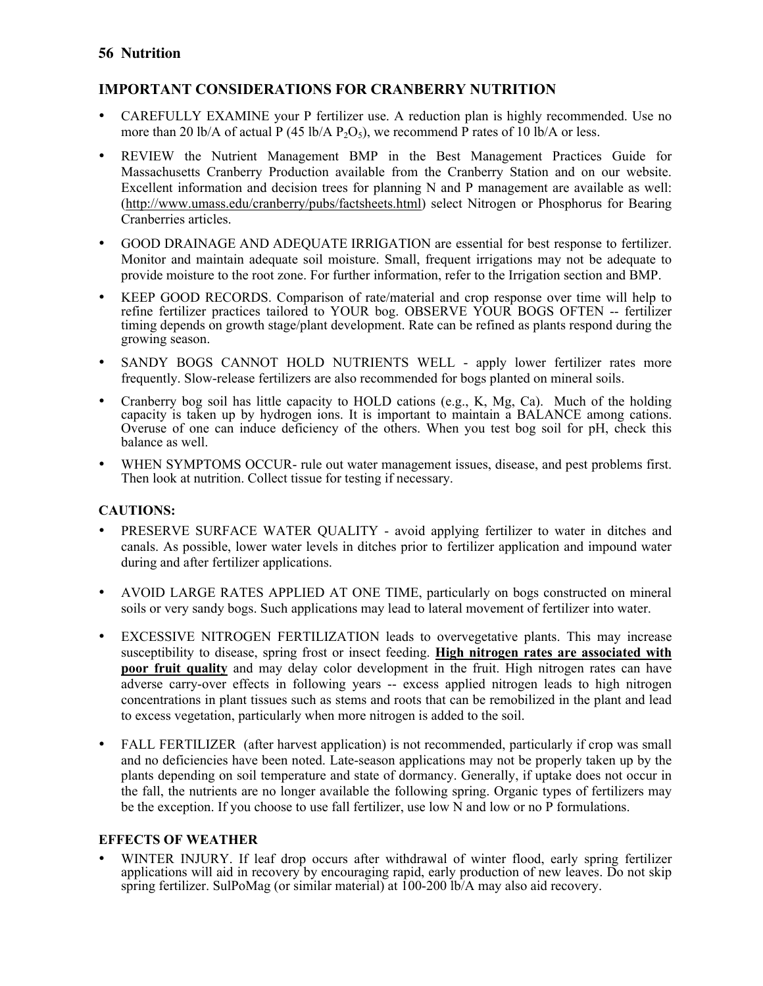### **IMPORTANT CONSIDERATIONS FOR CRANBERRY NUTRITION**

- CAREFULLY EXAMINE your P fertilizer use. A reduction plan is highly recommended. Use no more than 20 lb/A of actual P (45 lb/A P<sub>2</sub>O<sub>5</sub>), we recommend P rates of 10 lb/A or less.
- REVIEW the Nutrient Management BMP in the Best Management Practices Guide for Massachusetts Cranberry Production available from the Cranberry Station and on our website. Excellent information and decision trees for planning N and P management are available as well: (http://www.umass.edu/cranberry/pubs/factsheets.html) select Nitrogen or Phosphorus for Bearing Cranberries articles.
- GOOD DRAINAGE AND ADEQUATE IRRIGATION are essential for best response to fertilizer. Monitor and maintain adequate soil moisture. Small, frequent irrigations may not be adequate to provide moisture to the root zone. For further information, refer to the Irrigation section and BMP.
- KEEP GOOD RECORDS. Comparison of rate/material and crop response over time will help to refine fertilizer practices tailored to YOUR bog. OBSERVE YOUR BOGS OFTEN -- fertilizer timing depends on growth stage/plant development. Rate can be refined as plants respond during the growing season.
- SANDY BOGS CANNOT HOLD NUTRIENTS WELL apply lower fertilizer rates more frequently. Slow-release fertilizers are also recommended for bogs planted on mineral soils.
- Cranberry bog soil has little capacity to HOLD cations (e.g., K, Mg, Ca). Much of the holding capacity is taken up by hydrogen ions. It is important to maintain a BALANCE among cations. Overuse of one can induce deficiency of the others. When you test bog soil for pH, check this balance as well.
- WHEN SYMPTOMS OCCUR- rule out water management issues, disease, and pest problems first. Then look at nutrition. Collect tissue for testing if necessary.

### **CAUTIONS:**

- PRESERVE SURFACE WATER QUALITY avoid applying fertilizer to water in ditches and canals. As possible, lower water levels in ditches prior to fertilizer application and impound water during and after fertilizer applications.
- AVOID LARGE RATES APPLIED AT ONE TIME, particularly on bogs constructed on mineral soils or very sandy bogs. Such applications may lead to lateral movement of fertilizer into water.
- EXCESSIVE NITROGEN FERTILIZATION leads to overvegetative plants. This may increase susceptibility to disease, spring frost or insect feeding. **High nitrogen rates are associated with poor fruit quality** and may delay color development in the fruit. High nitrogen rates can have adverse carry-over effects in following years -- excess applied nitrogen leads to high nitrogen concentrations in plant tissues such as stems and roots that can be remobilized in the plant and lead to excess vegetation, particularly when more nitrogen is added to the soil.
- FALL FERTILIZER (after harvest application) is not recommended, particularly if crop was small and no deficiencies have been noted. Late-season applications may not be properly taken up by the plants depending on soil temperature and state of dormancy. Generally, if uptake does not occur in the fall, the nutrients are no longer available the following spring. Organic types of fertilizers may be the exception. If you choose to use fall fertilizer, use low N and low or no P formulations.

### **EFFECTS OF WEATHER**

• WINTER INJURY. If leaf drop occurs after withdrawal of winter flood, early spring fertilizer applications will aid in recovery by encouraging rapid, early production of new leaves. Do not skip spring fertilizer. SulPoMag (or similar material) at  $100-200$  lb/A may also aid recovery.